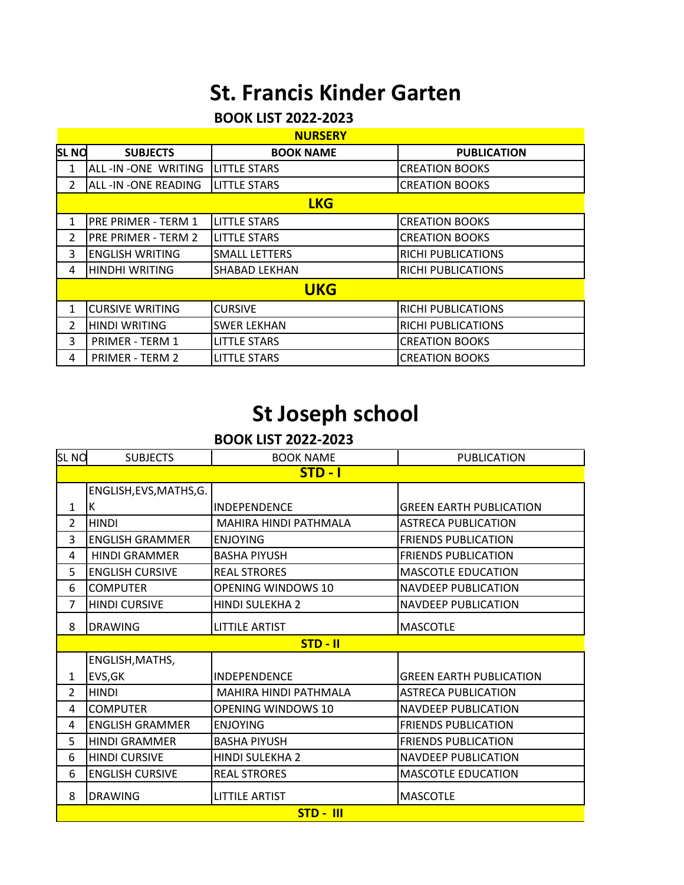## **St. Francis Kinder Garten**

### **BOOK LIST 2022-2023**

| <b>NURSERY</b> |                        |                      |                           |  |
|----------------|------------------------|----------------------|---------------------------|--|
| <b>SLNO</b>    | <b>SUBJECTS</b>        | <b>BOOK NAME</b>     | <b>PUBLICATION</b>        |  |
| 1              | ALL-IN-ONE WRITING     | <b>LITTLE STARS</b>  | <b>CREATION BOOKS</b>     |  |
| 2              | ALL -IN -ONE READING   | <b>LITTLE STARS</b>  | <b>CREATION BOOKS</b>     |  |
|                | <b>LKG</b>             |                      |                           |  |
| 1              | PRE PRIMER - TERM 1    | <b>LITTLE STARS</b>  | <b>CREATION BOOKS</b>     |  |
| 2              | PRE PRIMER - TERM 2    | <b>LITTLE STARS</b>  | <b>CREATION BOOKS</b>     |  |
| 3              | <b>ENGLISH WRITING</b> | <b>SMALL LETTERS</b> | <b>RICHI PUBLICATIONS</b> |  |
| 4              | <b>HINDHI WRITING</b>  | <b>SHABAD LEKHAN</b> | <b>RICHI PUBLICATIONS</b> |  |
|                | <b>UKG</b>             |                      |                           |  |
| 1              | <b>CURSIVE WRITING</b> | <b>CURSIVE</b>       | <b>RICHI PUBLICATIONS</b> |  |
| 2              | <b>HINDI WRITING</b>   | <b>SWER LEKHAN</b>   | <b>RICHI PUBLICATIONS</b> |  |
| 3              | <b>PRIMER - TERM 1</b> | <b>LITTLE STARS</b>  | <b>CREATION BOOKS</b>     |  |
| 4              | <b>PRIMER - TERM 2</b> | <b>LITTLE STARS</b>  | <b>CREATION BOOKS</b>     |  |

## **St Joseph school**

#### **BOOK LIST 2022-2023**

| <b>SLNO</b>    | <b>BOOK NAME</b><br><b>SUBJECTS</b> |                           | <b>PUBLICATION</b>             |  |  |
|----------------|-------------------------------------|---------------------------|--------------------------------|--|--|
|                | $STD - I$                           |                           |                                |  |  |
|                | ENGLISH, EVS, MATHS, G.             |                           |                                |  |  |
| 1              | К                                   | <b>INDEPENDENCE</b>       | <b>GREEN EARTH PUBLICATION</b> |  |  |
| $\overline{2}$ | <b>HINDI</b>                        | MAHIRA HINDI PATHMALA     | <b>ASTRECA PUBLICATION</b>     |  |  |
| 3              | <b>ENGLISH GRAMMER</b>              | <b>ENJOYING</b>           | <b>FRIENDS PUBLICATION</b>     |  |  |
| 4              | <b>HINDI GRAMMER</b>                | <b>BASHA PIYUSH</b>       | <b>FRIENDS PUBLICATION</b>     |  |  |
| 5              | <b>ENGLISH CURSIVE</b>              | <b>REAL STRORES</b>       | <b>MASCOTLE EDUCATION</b>      |  |  |
| 6              | <b>COMPUTER</b>                     | <b>OPENING WINDOWS 10</b> | <b>NAVDEEP PUBLICATION</b>     |  |  |
| 7              | <b>HINDI CURSIVE</b>                | HINDI SULEKHA 2           | <b>NAVDEEP PUBLICATION</b>     |  |  |
| 8              | <b>DRAWING</b>                      | <b>LITTILE ARTIST</b>     | <b>MASCOTLE</b>                |  |  |
|                | $STD - II$                          |                           |                                |  |  |
|                |                                     |                           |                                |  |  |
|                | ENGLISH, MATHS,                     |                           |                                |  |  |
| 1              | EVS, GK                             | <b>INDEPENDENCE</b>       | <b>GREEN EARTH PUBLICATION</b> |  |  |
| $\overline{2}$ | <b>HINDI</b>                        | MAHIRA HINDI PATHMALA     | <b>ASTRECA PUBLICATION</b>     |  |  |
| 4              | <b>COMPUTER</b>                     | <b>OPENING WINDOWS 10</b> | <b>NAVDEEP PUBLICATION</b>     |  |  |
| 4              | <b>ENGLISH GRAMMER</b>              | <b>ENJOYING</b>           | <b>FRIENDS PUBLICATION</b>     |  |  |
| 5              | <b>HINDI GRAMMER</b>                | <b>BASHA PIYUSH</b>       | <b>FRIENDS PUBLICATION</b>     |  |  |
| 6              | <b>HINDI CURSIVE</b>                | <b>HINDI SULEKHA 2</b>    | <b>NAVDEEP PUBLICATION</b>     |  |  |
| 6              | <b>ENGLISH CURSIVE</b>              | <b>REAL STRORES</b>       | <b>MASCOTLE EDUCATION</b>      |  |  |
| 8              | <b>DRAWING</b>                      | <b>LITTILE ARTIST</b>     | <b>MASCOTLE</b>                |  |  |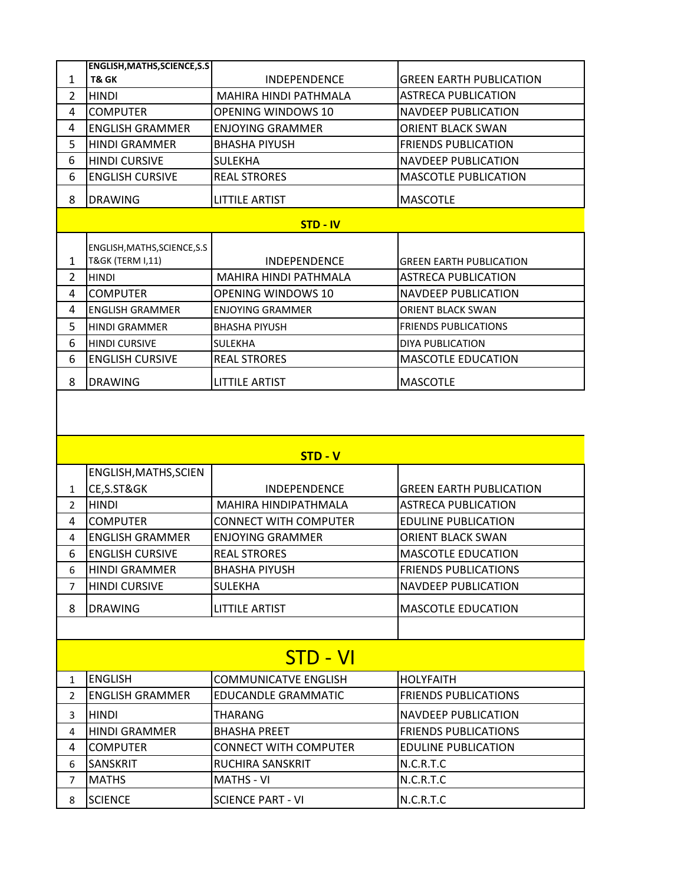|                | <b>ENGLISH, MATHS, SCIENCE, S.S</b>                          |                         |                             |
|----------------|--------------------------------------------------------------|-------------------------|-----------------------------|
| 1              | T& GK                                                        | <b>INDEPENDENCE</b>     | GREEN EARTH PUBLICATION     |
| $\overline{2}$ | <b>HINDI</b>                                                 | MAHIRA HINDI PATHMALA   | <b>ASTRECA PUBLICATION</b>  |
| 4              | <b>COMPUTER</b>                                              | OPENING WINDOWS 10      | <b>NAVDEEP PUBLICATION</b>  |
| 4              | <b>ENGLISH GRAMMER</b>                                       | <b>ENJOYING GRAMMER</b> | ORIENT BLACK SWAN           |
| 5              | <b>HINDI GRAMMER</b>                                         | <b>BHASHA PIYUSH</b>    | <b>FRIENDS PUBLICATION</b>  |
| 6              | <b>HINDI CURSIVE</b>                                         | <b>SULEKHA</b>          | <b>NAVDEEP PUBLICATION</b>  |
| 6              | <b>ENGLISH CURSIVE</b>                                       | <b>REAL STRORES</b>     | <b>MASCOTLE PUBLICATION</b> |
| 8              | <b>DRAWING</b>                                               | <b>LITTILE ARTIST</b>   | <b>MASCOTLE</b>             |
|                | <b>STD - IV</b>                                              |                         |                             |
|                |                                                              |                         |                             |
|                |                                                              |                         |                             |
| 1              | ENGLISH, MATHS, SCIENCE, S.S.<br><b>T&amp;GK (TERM I,11)</b> | <b>INDEPENDENCE</b>     | GREEN EARTH PUBLICATION     |
| $\mathcal{P}$  | <b>HINDI</b>                                                 | MAHIRA HINDI PATHMALA   | <b>ASTRECA PUBLICATION</b>  |
| 4              | <b>COMPUTER</b>                                              | OPENING WINDOWS 10      | <b>NAVDEEP PUBLICATION</b>  |
| 4              | <b>ENGLISH GRAMMER</b>                                       | <b>ENJOYING GRAMMER</b> | ORIENT BLACK SWAN           |
| 5              | <b>HINDI GRAMMER</b>                                         | <b>BHASHA PIYUSH</b>    | <b>FRIENDS PUBLICATIONS</b> |
| 6              | <b>HINDI CURSIVE</b>                                         | <b>SULEKHA</b>          | DIYA PUBLICATION            |
| 6              | <b>ENGLISH CURSIVE</b>                                       | <b>REAL STRORES</b>     | <b>MASCOTLE EDUCATION</b>   |
| 8              | <b>DRAWING</b>                                               | <b>LITTILE ARTIST</b>   | <b>MASCOTLE</b>             |

| $STD - V$      |                        |                              |                                |  |  |
|----------------|------------------------|------------------------------|--------------------------------|--|--|
|                | ENGLISH, MATHS, SCIEN  |                              |                                |  |  |
| $\mathbf{1}$   | CE,S.ST&GK             | <b>INDEPENDENCE</b>          | <b>GREEN EARTH PUBLICATION</b> |  |  |
| $\overline{2}$ | <b>HINDI</b>           | <b>MAHIRA HINDIPATHMALA</b>  | <b>ASTRECA PUBLICATION</b>     |  |  |
| 4              | <b>COMPUTER</b>        | CONNECT WITH COMPUTER        | <b>EDULINE PUBLICATION</b>     |  |  |
| 4              | <b>ENGLISH GRAMMER</b> | <b>ENJOYING GRAMMER</b>      | <b>ORIENT BLACK SWAN</b>       |  |  |
| 6              | <b>ENGLISH CURSIVE</b> | <b>REAL STRORES</b>          | <b>MASCOTLE EDUCATION</b>      |  |  |
| 6              | <b>HINDI GRAMMER</b>   | <b>BHASHA PIYUSH</b>         | <b>FRIENDS PUBLICATIONS</b>    |  |  |
| $\overline{7}$ | <b>HINDI CURSIVE</b>   | <b>SULEKHA</b>               | <b>NAVDEEP PUBLICATION</b>     |  |  |
| 8              | <b>DRAWING</b>         | <b>LITTILE ARTIST</b>        | <b>MASCOTLE EDUCATION</b>      |  |  |
|                |                        |                              |                                |  |  |
|                | <b>STD - VI</b>        |                              |                                |  |  |
| $\mathbf{1}$   | <b>ENGLISH</b>         | <b>COMMUNICATVE ENGLISH</b>  | <b>HOLYFAITH</b>               |  |  |
| $\overline{2}$ | <b>ENGLISH GRAMMER</b> | <b>EDUCANDLE GRAMMATIC</b>   | <b>FRIENDS PUBLICATIONS</b>    |  |  |
| 3              | <b>HINDI</b>           | THARANG                      | <b>NAVDEEP PUBLICATION</b>     |  |  |
| 4              | <b>HINDI GRAMMER</b>   | <b>BHASHA PREET</b>          | <b>FRIENDS PUBLICATIONS</b>    |  |  |
| 4              | <b>COMPUTER</b>        | <b>CONNECT WITH COMPUTER</b> | <b>EDULINE PUBLICATION</b>     |  |  |
| 6              | <b>SANSKRIT</b>        | <b>RUCHIRA SANSKRIT</b>      | N.C.R.T.C                      |  |  |
| $\overline{7}$ | <b>MATHS</b>           | <b>MATHS - VI</b>            | N.C.R.T.C                      |  |  |
| 8              | <b>SCIENCE</b>         | <b>SCIENCE PART - VI</b>     | N.C.R.T.C                      |  |  |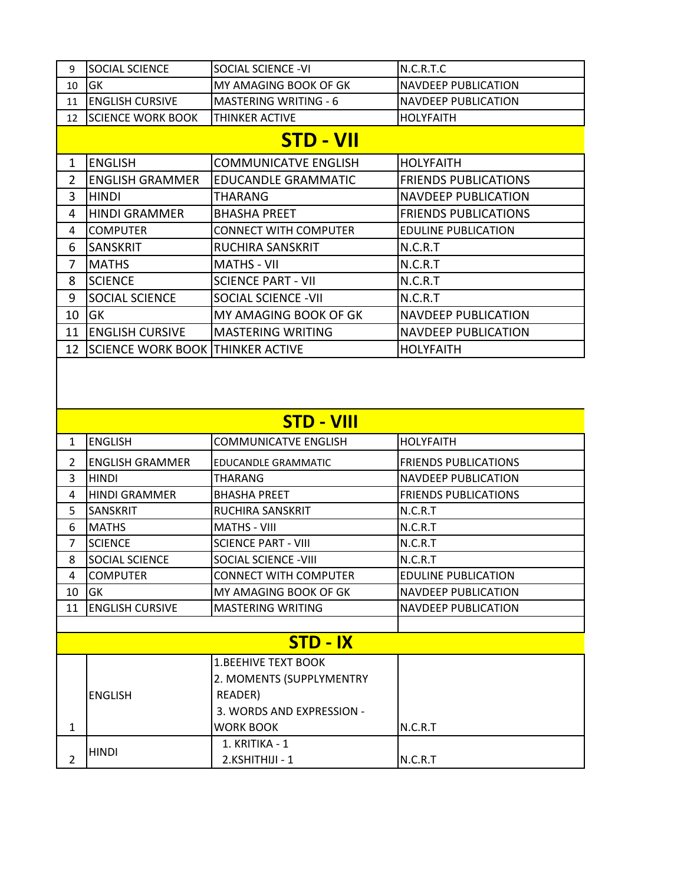| 9  | <b>SOCIAL SCIENCE</b>                   | SOCIAL SCIENCE -VI                                  | N.C.R.T.C                   |
|----|-----------------------------------------|-----------------------------------------------------|-----------------------------|
| 10 | GK                                      | MY AMAGING BOOK OF GK<br><b>NAVDEEP PUBLICATION</b> |                             |
| 11 | <b>ENGLISH CURSIVE</b>                  | <b>MASTERING WRITING - 6</b>                        | <b>NAVDEEP PUBLICATION</b>  |
| 12 | <b>SCIENCE WORK BOOK</b>                | THINKER ACTIVE                                      | <b>HOLYFAITH</b>            |
|    |                                         | <b>STD - VII</b>                                    |                             |
| 1  | <b>ENGLISH</b>                          | <b>COMMUNICATVE ENGLISH</b>                         | <b>HOLYFAITH</b>            |
| 2  | <b>ENGLISH GRAMMER</b>                  | <b>EDUCANDLE GRAMMATIC</b>                          | <b>FRIENDS PUBLICATIONS</b> |
| 3  | <b>HINDI</b>                            | THARANG                                             | <b>NAVDEEP PUBLICATION</b>  |
| 4  | <b>HINDI GRAMMER</b>                    | <b>BHASHA PREET</b>                                 | <b>FRIENDS PUBLICATIONS</b> |
| 4  | <b>COMPUTER</b>                         | <b>CONNECT WITH COMPUTER</b>                        | <b>EDULINE PUBLICATION</b>  |
| 6  | <b>SANSKRIT</b>                         | RUCHIRA SANSKRIT                                    | N.C.R.T                     |
| 7  | <b>MATHS</b>                            | <b>MATHS - VII</b>                                  | N.C.R.T                     |
| 8  | <b>SCIENCE</b>                          | <b>SCIENCE PART - VII</b>                           | N.C.R.T                     |
| 9  | <b>SOCIAL SCIENCE</b>                   | <b>SOCIAL SCIENCE - VII</b>                         | N.C.R.T                     |
| 10 | <b>GK</b>                               | MY AMAGING BOOK OF GK                               | <b>NAVDEEP PUBLICATION</b>  |
| 11 | <b>ENGLISH CURSIVE</b>                  | <b>MASTERING WRITING</b>                            | <b>NAVDEEP PUBLICATION</b>  |
| 12 | <b>SCIENCE WORK BOOK THINKER ACTIVE</b> |                                                     | <b>HOLYFAITH</b>            |

| <b>STD - VIII</b> |                                                      |                              |                             |  |  |
|-------------------|------------------------------------------------------|------------------------------|-----------------------------|--|--|
| $\mathbf{1}$      | <b>ENGLISH</b>                                       | <b>COMMUNICATVE ENGLISH</b>  | <b>HOLYFAITH</b>            |  |  |
| $\mathcal{P}$     | <b>ENGLISH GRAMMER</b><br><b>EDUCANDLE GRAMMATIC</b> |                              | <b>FRIENDS PUBLICATIONS</b> |  |  |
| 3                 | <b>HINDI</b>                                         | <b>THARANG</b>               | <b>NAVDEEP PUBLICATION</b>  |  |  |
| 4                 | <b>HINDI GRAMMER</b>                                 | <b>BHASHA PREET</b>          | <b>FRIENDS PUBLICATIONS</b> |  |  |
| 5                 | <b>SANSKRIT</b>                                      | <b>RUCHIRA SANSKRIT</b>      | N.C.R.T                     |  |  |
| 6                 | <b>MATHS</b>                                         | <b>MATHS - VIII</b>          | N.C.R.T                     |  |  |
| $\overline{7}$    | <b>SCIENCE</b>                                       | <b>SCIENCE PART - VIII</b>   | N.C.R.T                     |  |  |
| 8                 | SOCIAL SCIENCE                                       | SOCIAL SCIENCE - VIII        | N.C.R.T                     |  |  |
| 4                 | <b>COMPUTER</b>                                      | <b>CONNECT WITH COMPUTER</b> | <b>EDULINE PUBLICATION</b>  |  |  |
| 10                | GK                                                   | MY AMAGING BOOK OF GK        | <b>NAVDEEP PUBLICATION</b>  |  |  |
| 11                | <b>ENGLISH CURSIVE</b><br><b>MASTERING WRITING</b>   |                              | <b>NAVDEEP PUBLICATION</b>  |  |  |
|                   |                                                      |                              |                             |  |  |
|                   |                                                      | STD - IX                     |                             |  |  |
|                   |                                                      | <b>1.BEEHIVE TEXT BOOK</b>   |                             |  |  |
|                   |                                                      | 2. MOMENTS (SUPPLYMENTRY     |                             |  |  |
|                   | <b>ENGLISH</b>                                       | READER)                      |                             |  |  |
|                   |                                                      | 3. WORDS AND EXPRESSION -    |                             |  |  |
| $\mathbf{1}$      |                                                      | <b>WORK BOOK</b>             | N.C.R.T                     |  |  |
|                   |                                                      | 1. KRITIKA - 1               |                             |  |  |
| $\overline{2}$    | <b>HINDI</b>                                         | 2.KSHITHIJI - 1              | N.C.R.T                     |  |  |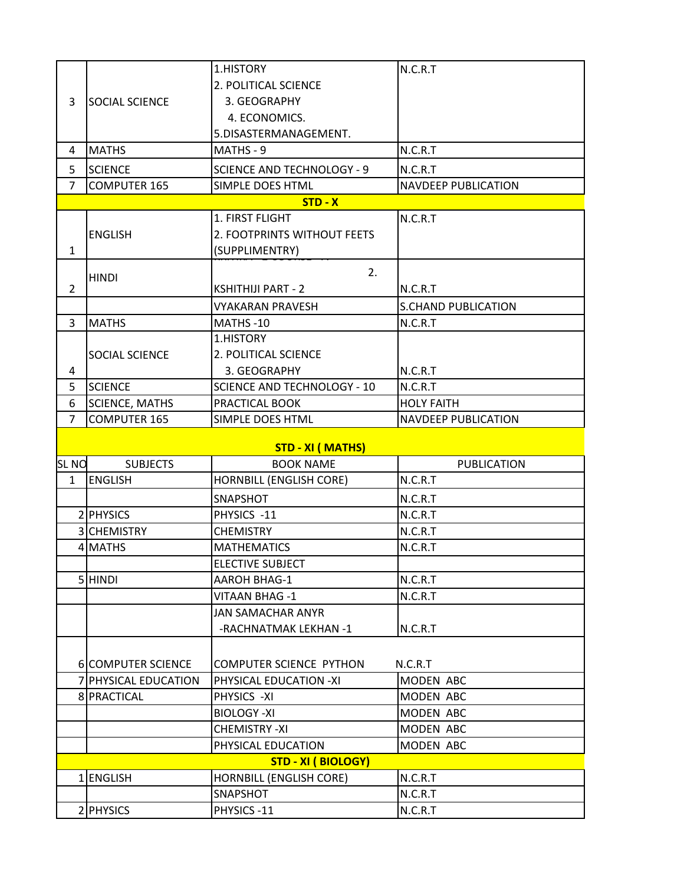|                |                           | 1.HISTORY                          | N.C.R.T                    |  |  |
|----------------|---------------------------|------------------------------------|----------------------------|--|--|
|                |                           | 2. POLITICAL SCIENCE               |                            |  |  |
| 3              | <b>SOCIAL SCIENCE</b>     | 3. GEOGRAPHY                       |                            |  |  |
|                |                           | 4. ECONOMICS.                      |                            |  |  |
|                |                           | 5.DISASTERMANAGEMENT.              |                            |  |  |
| 4              | <b>MATHS</b>              | MATHS - 9                          | N.C.R.T                    |  |  |
| 5              | <b>SCIENCE</b>            | <b>SCIENCE AND TECHNOLOGY - 9</b>  | N.C.R.T                    |  |  |
| $\overline{7}$ | <b>COMPUTER 165</b>       | SIMPLE DOES HTML                   | <b>NAVDEEP PUBLICATION</b> |  |  |
|                | $STD - X$                 |                                    |                            |  |  |
|                |                           | 1. FIRST FLIGHT                    | N.C.R.T                    |  |  |
|                | <b>ENGLISH</b>            | 2. FOOTPRINTS WITHOUT FEETS        |                            |  |  |
| 1              |                           | (SUPPLIMENTRY)                     |                            |  |  |
|                | <b>HINDI</b>              | 2.                                 |                            |  |  |
| $\overline{2}$ |                           | <b>KSHITHIJI PART - 2</b>          | N.C.R.T                    |  |  |
|                |                           | <b>VYAKARAN PRAVESH</b>            | <b>S.CHAND PUBLICATION</b> |  |  |
| 3              | <b>MATHS</b>              | MATHS-10                           | N.C.R.T                    |  |  |
|                |                           | 1.HISTORY                          |                            |  |  |
|                | SOCIAL SCIENCE            | 2. POLITICAL SCIENCE               |                            |  |  |
| 4              |                           | 3. GEOGRAPHY                       | N.C.R.T                    |  |  |
| 5              | <b>SCIENCE</b>            | <b>SCIENCE AND TECHNOLOGY - 10</b> | N.C.R.T                    |  |  |
| 6              | <b>SCIENCE, MATHS</b>     | PRACTICAL BOOK                     | <b>HOLY FAITH</b>          |  |  |
| $\overline{7}$ | <b>COMPUTER 165</b>       | SIMPLE DOES HTML                   | <b>NAVDEEP PUBLICATION</b> |  |  |
|                |                           | <b>STD - XI (MATHS)</b>            |                            |  |  |
| <b>SLNO</b>    | <b>SUBJECTS</b>           | <b>BOOK NAME</b>                   | <b>PUBLICATION</b>         |  |  |
| $\mathbf{1}$   | <b>ENGLISH</b>            | HORNBILL (ENGLISH CORE)            | N.C.R.T                    |  |  |
|                |                           | SNAPSHOT                           | N.C.R.T                    |  |  |
|                | 2 PHYSICS                 | PHYSICS -11                        | N.C.R.T                    |  |  |
|                | 3 CHEMISTRY               | <b>CHEMISTRY</b>                   | N.C.R.T                    |  |  |
|                | 4 MATHS                   | <b>MATHEMATICS</b>                 | N.C.R.T                    |  |  |
|                |                           | <b>ELECTIVE SUBJECT</b>            |                            |  |  |
|                | 5 HINDI                   | <b>AAROH BHAG-1</b>                | N.C.R.T                    |  |  |
|                |                           | <b>VITAAN BHAG-1</b>               | N.C.R.T                    |  |  |
|                |                           | <b>JAN SAMACHAR ANYR</b>           |                            |  |  |
|                |                           | -RACHNATMAK LEKHAN -1              | N.C.R.T                    |  |  |
|                |                           |                                    |                            |  |  |
|                | <b>6 COMPUTER SCIENCE</b> | <b>COMPUTER SCIENCE PYTHON</b>     | N.C.R.T                    |  |  |
|                | 7 PHYSICAL EDUCATION      | PHYSICAL EDUCATION -XI             | MODEN ABC                  |  |  |
|                | 8 PRACTICAL               | PHYSICS -XI                        | MODEN ABC                  |  |  |
|                |                           |                                    |                            |  |  |
|                |                           | <b>BIOLOGY-XI</b>                  | MODEN ABC                  |  |  |
|                |                           | <b>CHEMISTRY-XI</b>                | MODEN ABC                  |  |  |
|                |                           | PHYSICAL EDUCATION                 | MODEN ABC                  |  |  |
|                |                           | <b>STD - XI (BIOLOGY)</b>          |                            |  |  |
| 1 <sup>1</sup> | <b>ENGLISH</b>            | <b>HORNBILL (ENGLISH CORE)</b>     | N.C.R.T                    |  |  |
|                | 2 PHYSICS                 | SNAPSHOT<br>PHYSICS-11             | N.C.R.T<br>N.C.R.T         |  |  |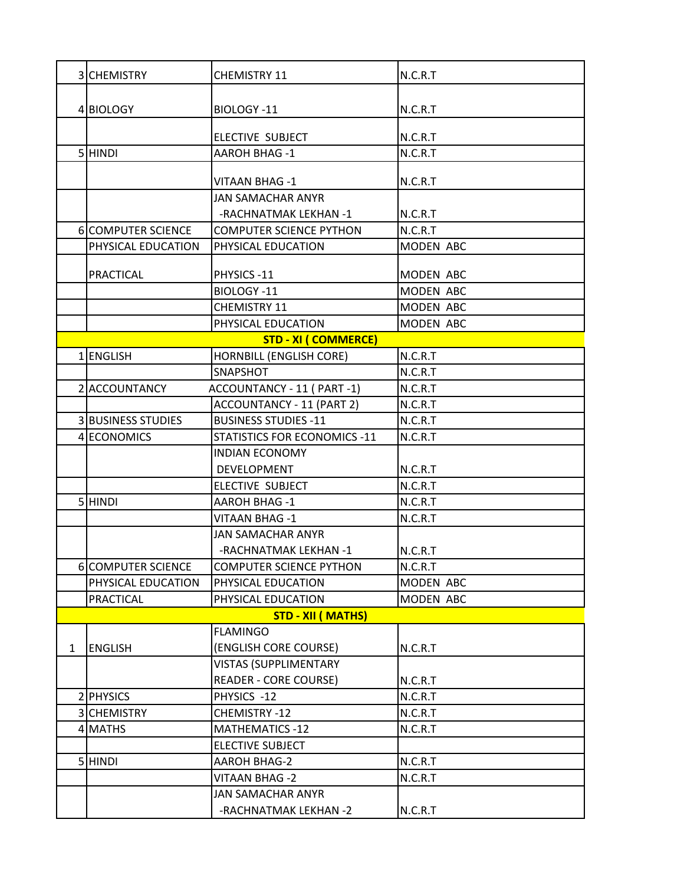|              | 3 CHEMISTRY               | <b>CHEMISTRY 11</b>                 | N.C.R.T            |
|--------------|---------------------------|-------------------------------------|--------------------|
|              |                           |                                     |                    |
|              | 4 BIOLOGY                 | BIOLOGY-11                          | N.C.R.T            |
|              |                           |                                     |                    |
|              | 5 HINDI                   | <b>ELECTIVE SUBJECT</b>             | N.C.R.T<br>N.C.R.T |
|              |                           | <b>AAROH BHAG-1</b>                 |                    |
|              |                           | <b>VITAAN BHAG-1</b>                | N.C.R.T            |
|              |                           | <b>JAN SAMACHAR ANYR</b>            |                    |
|              |                           | -RACHNATMAK LEKHAN -1               | N.C.R.T            |
|              | 6 COMPUTER SCIENCE        | <b>COMPUTER SCIENCE PYTHON</b>      | N.C.R.T            |
|              | PHYSICAL EDUCATION        | PHYSICAL EDUCATION                  | MODEN ABC          |
|              | <b>PRACTICAL</b>          | PHYSICS-11                          | MODEN ABC          |
|              |                           | BIOLOGY-11                          | MODEN ABC          |
|              |                           | CHEMISTRY 11                        | MODEN ABC          |
|              |                           | PHYSICAL EDUCATION                  | MODEN ABC          |
|              |                           | <b>STD - XI ( COMMERCE)</b>         |                    |
| 1            | <b>ENGLISH</b>            | <b>HORNBILL (ENGLISH CORE)</b>      | N.C.R.T            |
|              |                           | SNAPSHOT                            | N.C.R.T            |
|              | 2 ACCOUNTANCY             | ACCOUNTANCY - 11 ( PART -1)         | N.C.R.T            |
|              |                           | ACCOUNTANCY - 11 (PART 2)           | N.C.R.T            |
|              | <b>3 BUSINESS STUDIES</b> | <b>BUSINESS STUDIES -11</b>         | N.C.R.T            |
|              | 4 ECONOMICS               | <b>STATISTICS FOR ECONOMICS -11</b> | N.C.R.T            |
|              |                           | <b>INDIAN ECONOMY</b>               |                    |
|              |                           | <b>DEVELOPMENT</b>                  | N.C.R.T            |
|              |                           | ELECTIVE SUBJECT                    | N.C.R.T            |
|              | 5 HINDI                   | <b>AAROH BHAG-1</b>                 | N.C.R.T            |
|              |                           | <b>VITAAN BHAG-1</b>                | N.C.R.T            |
|              |                           | <b>JAN SAMACHAR ANYR</b>            |                    |
|              |                           | -RACHNATMAK LEKHAN -1               | N.C.R.T            |
|              | 6 COMPUTER SCIENCE        | <b>COMPUTER SCIENCE PYTHON</b>      | N.C.R.T            |
|              | PHYSICAL EDUCATION        | PHYSICAL EDUCATION                  | MODEN ABC          |
|              | PRACTICAL                 | PHYSICAL EDUCATION                  | MODEN ABC          |
|              |                           | <b>STD - XII (MATHS)</b>            |                    |
|              |                           | <b>FLAMINGO</b>                     |                    |
| $\mathbf{1}$ | <b>ENGLISH</b>            | (ENGLISH CORE COURSE)               | N.C.R.T            |
|              |                           | <b>VISTAS (SUPPLIMENTARY</b>        |                    |
|              |                           | <b>READER - CORE COURSE)</b>        | N.C.R.T            |
|              | 2 PHYSICS                 | PHYSICS -12                         | N.C.R.T            |
|              | 3 CHEMISTRY               | CHEMISTRY-12                        | N.C.R.T            |
|              | 4 MATHS                   | <b>MATHEMATICS -12</b>              | N.C.R.T            |
|              |                           | <b>ELECTIVE SUBJECT</b>             |                    |
|              | 5 HINDI                   | <b>AAROH BHAG-2</b>                 | N.C.R.T            |
|              |                           | VITAAN BHAG -2                      | N.C.R.T            |
|              |                           | <b>JAN SAMACHAR ANYR</b>            |                    |
|              |                           | -RACHNATMAK LEKHAN -2               | N.C.R.T            |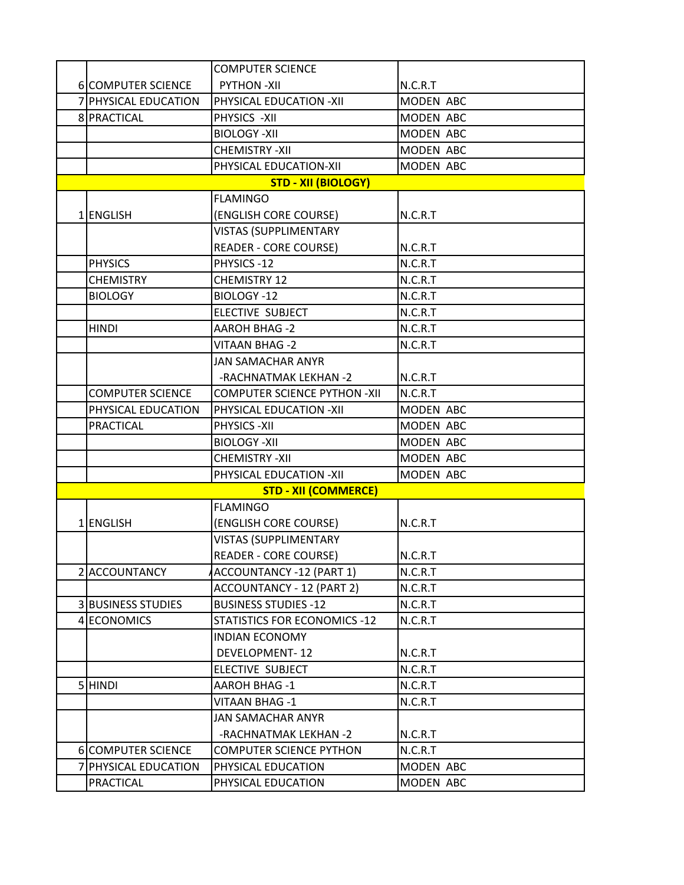|   |                           | <b>COMPUTER SCIENCE</b>             |           |
|---|---------------------------|-------------------------------------|-----------|
|   | 6 COMPUTER SCIENCE        | <b>PYTHON-XII</b>                   | N.C.R.T   |
|   | 7 PHYSICAL EDUCATION      | PHYSICAL EDUCATION -XII             | MODEN ABC |
|   | 8 PRACTICAL               | PHYSICS -XII                        | MODEN ABC |
|   |                           | <b>BIOLOGY-XII</b>                  | MODEN ABC |
|   |                           | <b>CHEMISTRY-XII</b>                | MODEN ABC |
|   |                           | PHYSICAL EDUCATION-XII              | MODEN ABC |
|   |                           | <b>STD - XII (BIOLOGY)</b>          |           |
|   |                           | <b>FLAMINGO</b>                     |           |
|   | 1 ENGLISH                 | (ENGLISH CORE COURSE)               | N.C.R.T   |
|   |                           | <b>VISTAS (SUPPLIMENTARY</b>        |           |
|   |                           | <b>READER - CORE COURSE)</b>        | N.C.R.T   |
|   | <b>PHYSICS</b>            | PHYSICS-12                          | N.C.R.T   |
|   | <b>CHEMISTRY</b>          | <b>CHEMISTRY 12</b>                 | N.C.R.T   |
|   | <b>BIOLOGY</b>            | BIOLOGY-12                          | N.C.R.T   |
|   |                           | ELECTIVE SUBJECT                    | N.C.R.T   |
|   | <b>HINDI</b>              | <b>AAROH BHAG -2</b>                | N.C.R.T   |
|   |                           | VITAAN BHAG -2                      | N.C.R.T   |
|   |                           | <b>JAN SAMACHAR ANYR</b>            |           |
|   |                           | -RACHNATMAK LEKHAN -2               | N.C.R.T   |
|   | <b>COMPUTER SCIENCE</b>   | <b>COMPUTER SCIENCE PYTHON -XII</b> | N.C.R.T   |
|   | PHYSICAL EDUCATION        | PHYSICAL EDUCATION -XII             | MODEN ABC |
|   | <b>PRACTICAL</b>          | PHYSICS - XII                       | MODEN ABC |
|   |                           | <b>BIOLOGY-XII</b>                  | MODEN ABC |
|   |                           | <b>CHEMISTRY-XII</b>                | MODEN ABC |
|   |                           | PHYSICAL EDUCATION -XII             | MODEN ABC |
|   |                           | <b>STD - XII (COMMERCE)</b>         |           |
|   |                           | <b>FLAMINGO</b>                     |           |
|   | 1 ENGLISH                 | (ENGLISH CORE COURSE)               | N.C.R.T   |
|   |                           | <b>VISTAS (SUPPLIMENTARY</b>        |           |
|   |                           | <b>READER - CORE COURSE)</b>        | N.C.R.T   |
|   | 2 ACCOUNTANCY             | ACCOUNTANCY -12 (PART 1)            | N.C.R.T   |
|   |                           | ACCOUNTANCY - 12 (PART 2)           | N.C.R.T   |
|   | <b>3 BUSINESS STUDIES</b> | <b>BUSINESS STUDIES -12</b>         | N.C.R.T   |
|   | 4 ECONOMICS               | STATISTICS FOR ECONOMICS -12        | N.C.R.T   |
|   |                           | <b>INDIAN ECONOMY</b>               |           |
|   |                           | <b>DEVELOPMENT-12</b>               | N.C.R.T   |
|   |                           | ELECTIVE SUBJECT                    | N.C.R.T   |
|   | 5 HINDI                   | <b>AAROH BHAG -1</b>                | N.C.R.T   |
|   |                           | <b>VITAAN BHAG-1</b>                | N.C.R.T   |
|   |                           | JAN SAMACHAR ANYR                   |           |
|   |                           | -RACHNATMAK LEKHAN -2               | N.C.R.T   |
|   | 6 COMPUTER SCIENCE        | <b>COMPUTER SCIENCE PYTHON</b>      | N.C.R.T   |
| 7 | <b>PHYSICAL EDUCATION</b> | PHYSICAL EDUCATION                  | MODEN ABC |
|   | PRACTICAL                 | PHYSICAL EDUCATION                  | MODEN ABC |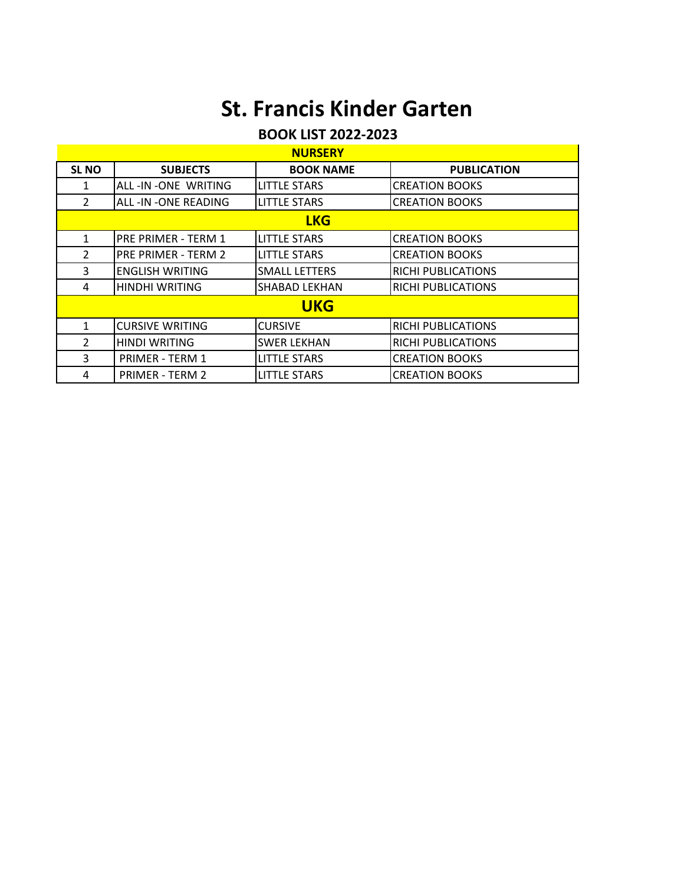# **St. Francis Kinder Garten**

### **BOOK LIST 2022-2023**

| <b>NURSERY</b> |                        |                      |                           |  |  |
|----------------|------------------------|----------------------|---------------------------|--|--|
| <b>SLNO</b>    | <b>SUBJECTS</b>        | <b>BOOK NAME</b>     | <b>PUBLICATION</b>        |  |  |
| 1              | ALL-IN-ONE WRITING     | <b>LITTLE STARS</b>  | <b>CREATION BOOKS</b>     |  |  |
| $\overline{2}$ | ALL-IN-ONE READING     | <b>LITTLE STARS</b>  | <b>CREATION BOOKS</b>     |  |  |
|                | <b>LKG</b>             |                      |                           |  |  |
| 1              | PRE PRIMER - TERM 1    | <b>LITTLE STARS</b>  | <b>CREATION BOOKS</b>     |  |  |
| $\mathcal{P}$  | PRE PRIMER - TERM 2    | <b>LITTLE STARS</b>  | <b>CREATION BOOKS</b>     |  |  |
| 3              | <b>ENGLISH WRITING</b> | <b>SMALL LETTERS</b> | <b>RICHI PUBLICATIONS</b> |  |  |
| 4              | HINDHI WRITING         | <b>SHABAD LEKHAN</b> | <b>RICHI PUBLICATIONS</b> |  |  |
|                | <b>UKG</b>             |                      |                           |  |  |
| 1              | <b>CURSIVE WRITING</b> | <b>CURSIVE</b>       | <b>RICHI PUBLICATIONS</b> |  |  |
| $\overline{2}$ | <b>HINDI WRITING</b>   | <b>SWER LEKHAN</b>   | <b>RICHI PUBLICATIONS</b> |  |  |
| 3              | <b>PRIMER - TERM 1</b> | <b>LITTLE STARS</b>  | <b>CREATION BOOKS</b>     |  |  |
| 4              | <b>PRIMER - TERM 2</b> | <b>LITTLE STARS</b>  | <b>CREATION BOOKS</b>     |  |  |